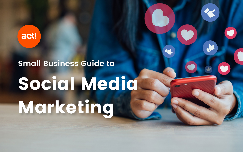## act!

# **Small Business Guide to**  Social Media Marketing

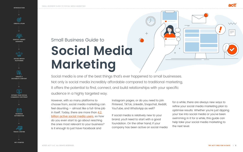

## <span id="page-1-0"></span>Small Business Guide to **Social Media Marketing**

Social media is one of the best things that's ever happened to small businesses. Not only is social media incredibly affordable compared to traditional marketing, it offers the potential to find, connect, and build relationships with your specific audience in a highly targeted way.

However, with so many platforms to choose from, social media marketing can feel daunting — almost like a full-time job in itself. Today, there are more than [4.2](https://www.hootsuite.com/resources/digital-trends)  [billion active social media users](https://www.hootsuite.com/resources/digital-trends), so how do you even start to go about reaching the ones most relevant to your business? Is it enough to just have Facebook and

- 
- 
- for a while, there are always new ways to refine your social media marketing plan to optimise results. Whether you're just dipping your toe into social media or you've been swimming in it for a while, this guide can help take your social media marketing to the next level.

Instagram pages, or do you need to join Pinterest, TikTok, LinkedIn, Snapchat, Reddit, YouTube, and WhatsApp as well?

If social media is relatively new to your brand, you'll need to start with a good foundation. On the other hand, if your company has been active on social media





SMALL BUSINESS GUIDE TO SOCIAL MEDIA MARKETING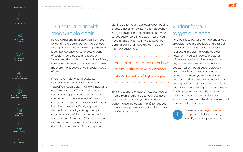

#### <span id="page-2-0"></span>1. Create a plan with measurable goals

Before doing anything else, you first need to identify the goals you want to achieve through social media marketing. Otherwise, it can be too easy to just create a bunch of social media pages and focus on "vanity" metrics such as the number of likes, shares, and retweets that don't accurately measure the success of your social media efforts.

If you haven't done so already, start by creating SMART social media goals (Specific, Measurable, Attainable, Relevant, and Time-bound). These goals should specifically support your business goals, such as attracting X number of new customers by year end. Your social media initiatives could specifically support this business goal by setting a target conversion rate of five percent in the first two quarters of the year. (The conversion rate measures how many visitors take a desired action after visiting a page, such as signing up for your newsletter, downloading a gated asset, or registering for an event.) A high conversion rate indicates that your target audience is interested in what you have to offer, which will help to keep them coming back and hopefully convert them into new customers.

This is just one example of how your social media plan should map to your business goals. It also ensures you have effective key performance indicators (KPIs) to help you monitor your progress or determine where to refine your tactics.

## <span id="page-2-1"></span>2. Identify your target audience

As a business owner or entrepreneur, you probably have a good idea of the target market you're trying to reach through your social media marketing strategy. However, if you still need to create or refine your audience demographics, our [buyer persona template](https://www.act.com/en-uk/persona-template) can help you get started. Although buyer personas are fictionalised representations of typical customers, you should still use detailed market data that includes buyer demographics, motivations, occupations, education, and challenges to inform them. This helps you know exactly what makes customers purchase a product or service so you can give them the right content and tools to make a decision.



Download our [buyer persona](https://www.act.com/en-uk/persona-template/)  [template](https://www.act.com/en-uk/persona-template/) to help you clearly identify your target personas.

Conversion rate measures how many visitors take a desired action after visiting a page.

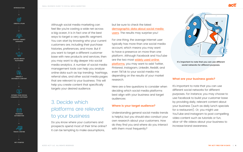

but be sure to check the latest [demographic data about social media](https://www.pewresearch.org/internet/fact-sheet/social-media/)  [users](https://www.pewresearch.org/internet/fact-sheet/social-media/). The results may surprise you!

Although social media marketing can feel like you're casting a wide net across a big ocean, it is in fact one of the best ways to target a very specific segment. You can start by knowing who your current customers are, including their purchase histories, preferences, and more. But if you want to target a different customer base with new products and services, then you may want to dig deeper into social media analytics. A number of social media management tools can help you analyze online data such as top trending hashtags, referral sites, and other social media pages that are relevant to your business. This will help you create content that specifically targets your desired audience.

### <span id="page-3-0"></span>3. Decide which platforms are relevant to your business

Do you know where your customers and prospects spend most of their time online? It can be tempting to make assumptions,

It's important to note that you can use different social networks for different purposes. For instance, you may choose to use Facebook to build your customer base by providing daily, relevant content about your business (such as daily lunch specials for a restaurant). Or, you might use YouTube and Instagram to post compelling video content such as tutorials or fun, slice-of-life videos about your business to increase brand awareness.

For one thing, the average Internet user typically has more than one social media account, which means you may want to have a presence on more than one platform. Although Facebook and YouTube are the two most [widely used online](https://www.pewresearch.org/internet/fact-sheet/social-media/)  [platforms](https://www.pewresearch.org/internet/fact-sheet/social-media/), you may want to add Twitter, Pinterest, Instagram, LinkedIn, Reddit, and even TikTok to your social media mix depending on the results of your market research.

Here are a few questions to consider when deciding which social media platforms best align with your business and target audiences:

#### **Where is your target audience?**

Understanding general social media trends is helpful, but you should also conduct your own research about your customers. How do they find you and where do you interact with them most frequently?

#### **What are your business goals?**

**It's important to note that you can use different social networks for different purposes.**



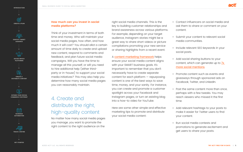

#### **How much can you invest in social media platforms?**

Think of your investment in terms of both time and money. Who will maintain your social media pages, how often, and how much it will cost? You should allot a certain amount of time daily to create and upload new content, respond to comments and feedback, and plan future social media campaigns. Will you have the time to manage all this yourself, or will you need to hire additional help (either thirdparty or in-house) to support your social media initiatives? This may also help you determine how many social media pages you can reasonably maintain.

## <span id="page-4-0"></span>4. Create and distribute the right, high-quality content

No matter how many social media pages you manage, you want to promote the right content to the right audience on the

right social media channels. This is the key to building customer relationships and brand awareness across various platforms. For example, depending on your target audience, Instagram stories might be a great way to share short videos or picture compilations promoting your new service or sharing highlights from a recent event.

A [content marketing framework](https://www.act.com/en-uk/guides/content-marketing-guide) helps ensure your social media content aligns with your SMART business goals. It's important to remember that you don't necessarily have to create separate content for each platform — repurposing content is one of the best ways to save time, money, and your sanity. For instance, you can create and promote a customer spotlight across your Facebook and Instagram pages, or turn an existing blog into a how-to video for YouTube.

Here are some other simple and effective marketing tips to promote and distribute your social media content:

- Contact influencers on social media and ask them to share or comment on your content.
- Submit your content to relevant social media communities.
- Include relevant SEO keywords in your social posts.
- Add social sharing buttons to your content, which can generate up to [7x](https://www.autogrow.co/promote-your-content/)  [more social mentions](https://www.autogrow.co/promote-your-content/).
- Promote content such as events and giveaways through sponsored ads on Facebook, Twitter, and LinkedIn.
- Post the same content more than once, perhaps with a few tweaks. You may reach viewers who missed it the first time.
- Add relevant hashtags to your posts to make it easier for Twitter users to find your content.
- Run social media contests and promotions to generate excitement and get users to share your posts.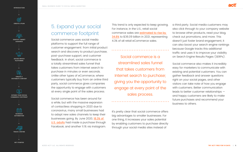

#### <span id="page-5-0"></span>5. Expand your social commerce footprint

Social commerce uses social media platforms to support the full range of customer engagement: from initial product search and discovery to product purchase, post-purchase support, and customer feedback. In short, social commerce is a totally streamlined sales funnel that takes customers from Internet search to purchase in minutes or even seconds. Unlike other types of eCommerce, where customers typically buy from an online third party, social commerce gives companies the opportunity to engage with customers at every single point of the sales process.

Social commerce has been around for a while, but with the massive expansion of contactless shopping in 2020 due to coronavirus, many small businesses had to adopt new sales channels to keep their businesses going. By June 2020, 18.3% of [U.S. adults](https://www.emarketer.com/content/why-small-businesses-could-benefit-launch-of-facebook-shops) had made a purchase through Facebook, and another 11.1% via Instagram. This trend is only expected to keep growing. For instance, in the U.S., retail social commerce sales are [estimated to rise by](https://www.emarketer.com/content/social-commerce-2021)  [34.8%](https://www.emarketer.com/content/social-commerce-2021) to \$36.09 billion in 2021, representing 4.3% of all retail eCommerce sales.

It's pretty clear that social commerce offers big advantages to smaller businesses. For one thing, it increases your sales potential by enabling customers to purchase directly through your social media sites instead of

a third party. Social media customers may also click through to your company website to browse other products, read your blog, check out promotions, and more. This doesn't just foster brand engagement, it can also boost your search engine rankings because Google tracks this additional traffic and uses it to improve your visibility on Search Engine Results Pages (SERPs).

Social commerce also makes it incredibly easy for marketers to communicate with existing and potential customers. You can gather feedback and answer questions right on your social pages, and other visitors can take note of how you engage with customers. Better communication leads to better customer relationships and happy customers are likely to make future purchases and recommend your business to others.

Social commerce is a streamlined sales funnel that takes customers from Internet search to purchase; giving you the opportunity to engage at every point of the sales process.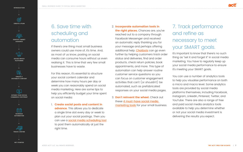

### <span id="page-6-1"></span>6. Save time with scheduling and automation

If there's one thing most small business owners could use more of, it's time. And, as most of us know, posting on social media can consume hours without us even realising it. This is time that very few small businesses have to waste.

For this reason, it's essential to structure your social content calendar and determine how many hours per day or week you can reasonably spend on social media marketing. Here are some tips to help you efficiently budget your time spent on social media:

## <span id="page-6-0"></span>7. Track performance and refine as necessary to meet your SMART goals.

It's important to know that there's no such thing as "set it and forget it" in social media marketing. You have to regularly keep up your social media performance to ensure it's meeting your SMART goals.

- 1. **Create social posts and content in advance.** This allows you to dedicate a single time slot every day or week to plan out your social postings. Then you can use a [social media scheduling tool](https://influencermarketinghub.com/social-media-posting-scheduling-tools/) to post them automatically at just the right time.
- 2. **Incorporate automation tools in the right places.** Chances are, you've reached out to a company through Facebook Messenger and received an automatic reply thanking you for your message and perhaps offering additional help. [Chatbots](https://blog.hootsuite.com/facebook-messenger-bots-guide/) can go even further by helping customers track order status and deliveries, find and order products, check return policies, book appointments, and more. This type of automation can help answer routine customer service questions so you can focus on customer engagement activities that can't (or shouldn't) be automated, such as prefabricated responses on your social media pages.
- 3. **Don't reinvent the wheel.** Check out these [4 must-have social media](https://www.act.com/blog/gb/social-media-marketing-tools/)  [marketing tools](https://www.act.com/blog/gb/social-media-marketing-tools/) for your small business.

You can use a number of analytics tools to help you visualise performance on both a micro and macro level. Some analytics tools are provided by social media platforms themselves, including Facebook, Instagram, LinkedIn, Pinterest, Twitter, and YouTube. There are also a range of free and paid social media analytics tools available to help you determine whether or not your social media investment is delivering the results you expect.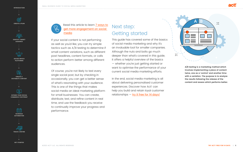

#### Read this article to learn [7 ways to](https://www.act.com/blog/gb/7-ways-to-get-more-engagement-on-social-media/)  [get more engagement on social](https://www.act.com/blog/gb/7-ways-to-get-more-engagement-on-social-media/)  [media](https://www.act.com/blog/gb/7-ways-to-get-more-engagement-on-social-media/)

If your social content is not performing as well as you'd like, you can try simple tactics such as  $A/B$  testing to determine if small content variations, such as different post headlines, content formats, or calls to action perform better among different audiences.

Of course, you're not likely to test every single social post, but by checking in occasionally, you can get a better sense of what's resonating with your audience. This is one of the things that makes social media an ideal marketing platform for small businesses: You can create, distribute, test, and refine content in real time, and use the feedback you receive to continually improve your progress and performance.

In the end, social media marketing is all about delivering personalised customer experiences. Discover how Act! can help you build and retain loyal customer relationships  $-$  [try it free for 14 days!](https://my.act.com/en-gb/trial)

**A/B testing is a marketing method which involves implementing a piece of content twice, one as a 'control' and another time with a variation. The purpose is to analyze the results following the release of the content and assess which performs better.**

#### <span id="page-7-0"></span>Next step: Getting started

This guide has covered some of the basics of social media marketing and why it's an invaluable tool for smaller companies. Although the nuts and bolts go much deeper than what's covered in this guide, it offers a helpful overview of the basics — whether you're just getting started or want to optimise the performance of your current social media marketing efforts.